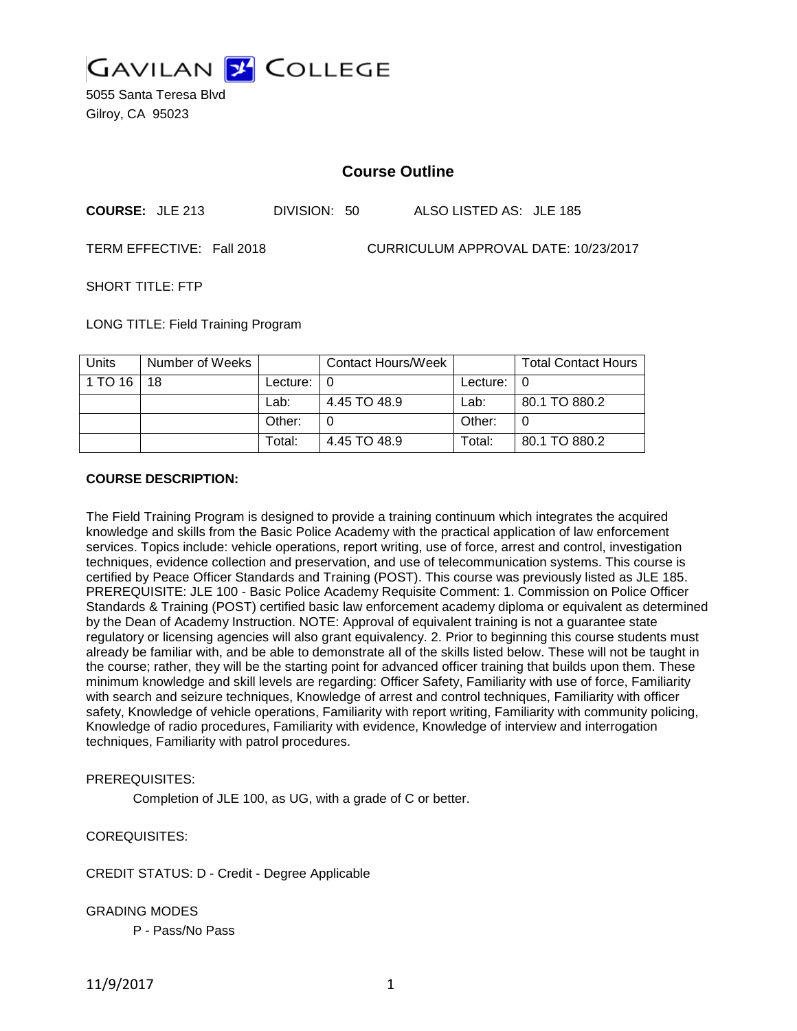

5055 Santa Teresa Blvd Gilroy, CA 95023

### **Course Outline**

| <b>COURSE: JLE 213</b> | DIVISION: 50 | ALSO LISTED AS: JLE 185 |  |
|------------------------|--------------|-------------------------|--|
|------------------------|--------------|-------------------------|--|

TERM EFFECTIVE: Fall 2018 CURRICULUM APPROVAL DATE: 10/23/2017

SHORT TITLE: FTP

LONG TITLE: Field Training Program

| <b>Units</b> | Number of Weeks |          | Contact Hours/Week |          | <b>Total Contact Hours</b> |
|--------------|-----------------|----------|--------------------|----------|----------------------------|
| 1 TO 16      | 18              | Lecture: |                    | Lecture: |                            |
|              |                 | Lab:     | 4.45 TO 48.9       | Lab:     | 80.1 TO 880.2              |
|              |                 | Other:   |                    | Other:   |                            |
|              |                 | Total:   | 4.45 TO 48.9       | Total:   | 80.1 TO 880.2              |

### **COURSE DESCRIPTION:**

The Field Training Program is designed to provide a training continuum which integrates the acquired knowledge and skills from the Basic Police Academy with the practical application of law enforcement services. Topics include: vehicle operations, report writing, use of force, arrest and control, investigation techniques, evidence collection and preservation, and use of telecommunication systems. This course is certified by Peace Officer Standards and Training (POST). This course was previously listed as JLE 185. PREREQUISITE: JLE 100 - Basic Police Academy Requisite Comment: 1. Commission on Police Officer Standards & Training (POST) certified basic law enforcement academy diploma or equivalent as determined by the Dean of Academy Instruction. NOTE: Approval of equivalent training is not a guarantee state regulatory or licensing agencies will also grant equivalency. 2. Prior to beginning this course students must already be familiar with, and be able to demonstrate all of the skills listed below. These will not be taught in the course; rather, they will be the starting point for advanced officer training that builds upon them. These minimum knowledge and skill levels are regarding: Officer Safety, Familiarity with use of force, Familiarity with search and seizure techniques, Knowledge of arrest and control techniques, Familiarity with officer safety, Knowledge of vehicle operations, Familiarity with report writing, Familiarity with community policing, Knowledge of radio procedures, Familiarity with evidence, Knowledge of interview and interrogation techniques, Familiarity with patrol procedures.

### PREREQUISITES:

Completion of JLE 100, as UG, with a grade of C or better.

COREQUISITES:

CREDIT STATUS: D - Credit - Degree Applicable

GRADING MODES

P - Pass/No Pass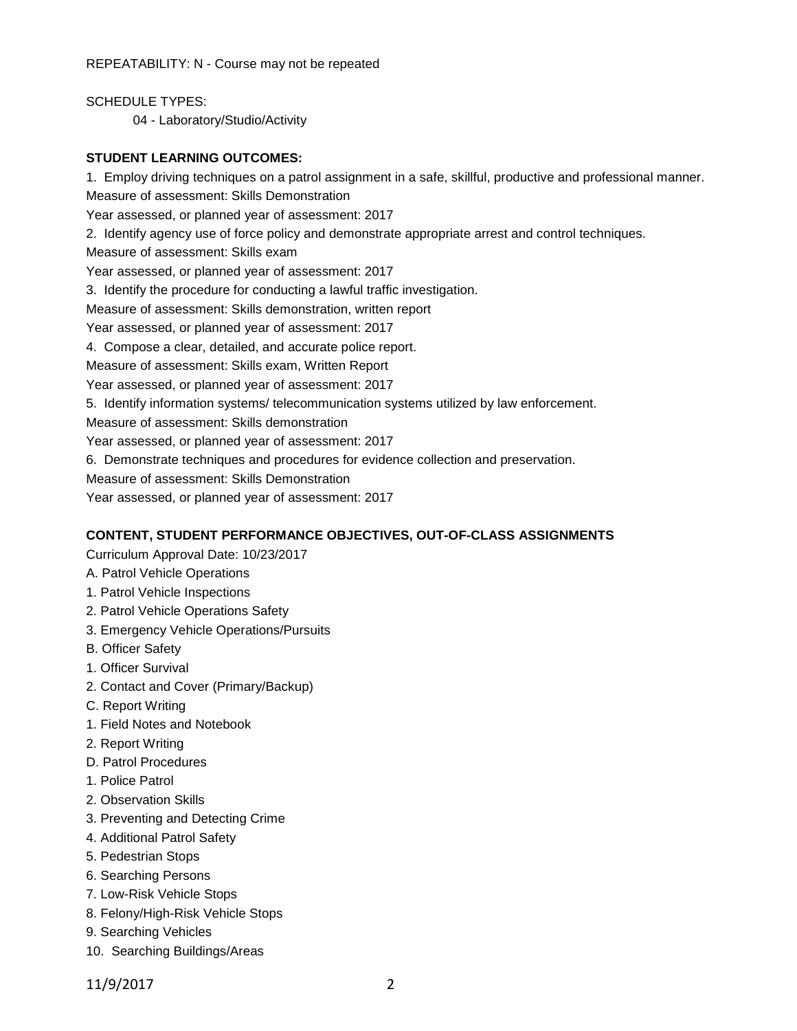REPEATABILITY: N - Course may not be repeated

SCHEDULE TYPES: 04 - Laboratory/Studio/Activity

#### **STUDENT LEARNING OUTCOMES:**

1. Employ driving techniques on a patrol assignment in a safe, skillful, productive and professional manner. Measure of assessment: Skills Demonstration Year assessed, or planned year of assessment: 2017 2. Identify agency use of force policy and demonstrate appropriate arrest and control techniques. Measure of assessment: Skills exam Year assessed, or planned year of assessment: 2017 3. Identify the procedure for conducting a lawful traffic investigation. Measure of assessment: Skills demonstration, written report Year assessed, or planned year of assessment: 2017 4. Compose a clear, detailed, and accurate police report. Measure of assessment: Skills exam, Written Report Year assessed, or planned year of assessment: 2017 5. Identify information systems/ telecommunication systems utilized by law enforcement. Measure of assessment: Skills demonstration Year assessed, or planned year of assessment: 2017 6. Demonstrate techniques and procedures for evidence collection and preservation. Measure of assessment: Skills Demonstration Year assessed, or planned year of assessment: 2017

### **CONTENT, STUDENT PERFORMANCE OBJECTIVES, OUT-OF-CLASS ASSIGNMENTS**

Curriculum Approval Date: 10/23/2017

- A. Patrol Vehicle Operations
- 1. Patrol Vehicle Inspections
- 2. Patrol Vehicle Operations Safety
- 3. Emergency Vehicle Operations/Pursuits
- B. Officer Safety
- 1. Officer Survival
- 2. Contact and Cover (Primary/Backup)
- C. Report Writing
- 1. Field Notes and Notebook
- 2. Report Writing
- D. Patrol Procedures
- 1. Police Patrol
- 2. Observation Skills
- 3. Preventing and Detecting Crime
- 4. Additional Patrol Safety
- 5. Pedestrian Stops
- 6. Searching Persons
- 7. Low-Risk Vehicle Stops
- 8. Felony/High-Risk Vehicle Stops
- 9. Searching Vehicles
- 10. Searching Buildings/Areas

11/9/2017 2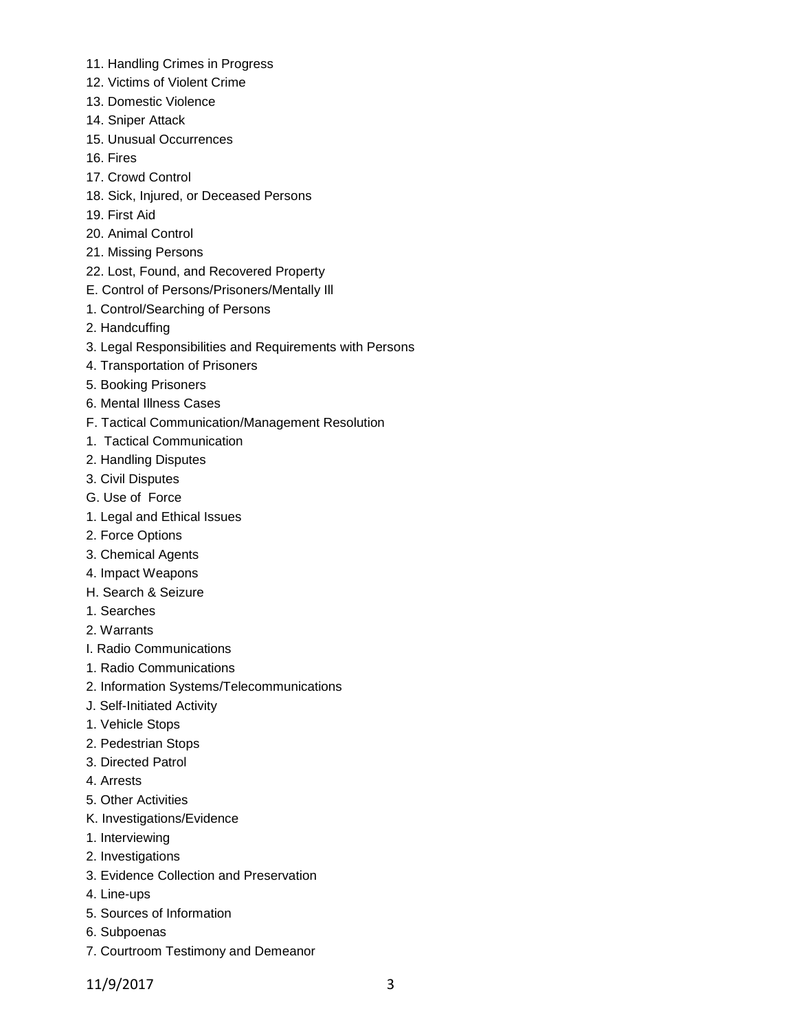- 11. Handling Crimes in Progress
- 12. Victims of Violent Crime
- 13. Domestic Violence
- 14. Sniper Attack
- 15. Unusual Occurrences
- 16. Fires
- 17. Crowd Control
- 18. Sick, Injured, or Deceased Persons
- 19. First Aid
- 20. Animal Control
- 21. Missing Persons
- 22. Lost, Found, and Recovered Property
- E. Control of Persons/Prisoners/Mentally Ill
- 1. Control/Searching of Persons
- 2. Handcuffing
- 3. Legal Responsibilities and Requirements with Persons
- 4. Transportation of Prisoners
- 5. Booking Prisoners
- 6. Mental Illness Cases
- F. Tactical Communication/Management Resolution
- 1. Tactical Communication
- 2. Handling Disputes
- 3. Civil Disputes
- G. Use of Force
- 1. Legal and Ethical Issues
- 2. Force Options
- 3. Chemical Agents
- 4. Impact Weapons
- H. Search & Seizure
- 1. Searches
- 2. Warrants
- I. Radio Communications
- 1. Radio Communications
- 2. Information Systems/Telecommunications
- J. Self-Initiated Activity
- 1. Vehicle Stops
- 2. Pedestrian Stops
- 3. Directed Patrol
- 4. Arrests
- 5. Other Activities
- K. Investigations/Evidence
- 1. Interviewing
- 2. Investigations
- 3. Evidence Collection and Preservation
- 4. Line-ups
- 5. Sources of Information
- 6. Subpoenas
- 7. Courtroom Testimony and Demeanor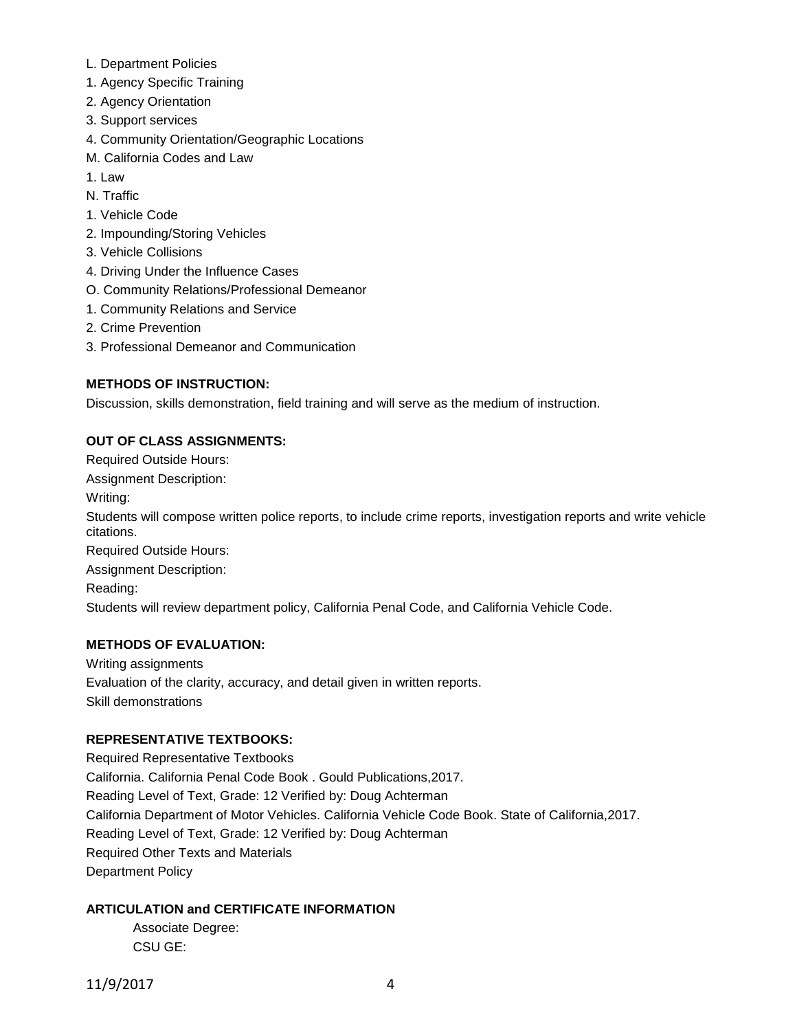- L. Department Policies
- 1. Agency Specific Training
- 2. Agency Orientation
- 3. Support services
- 4. Community Orientation/Geographic Locations
- M. California Codes and Law
- 1. Law
- N. Traffic
- 1. Vehicle Code
- 2. Impounding/Storing Vehicles
- 3. Vehicle Collisions
- 4. Driving Under the Influence Cases
- O. Community Relations/Professional Demeanor
- 1. Community Relations and Service
- 2. Crime Prevention
- 3. Professional Demeanor and Communication

# **METHODS OF INSTRUCTION:**

Discussion, skills demonstration, field training and will serve as the medium of instruction.

# **OUT OF CLASS ASSIGNMENTS:**

Required Outside Hours: Assignment Description: Writing: Students will compose written police reports, to include crime reports, investigation reports and write vehicle citations.

Required Outside Hours:

Assignment Description:

Reading:

Students will review department policy, California Penal Code, and California Vehicle Code.

### **METHODS OF EVALUATION:**

Writing assignments Evaluation of the clarity, accuracy, and detail given in written reports. Skill demonstrations

### **REPRESENTATIVE TEXTBOOKS:**

Required Representative Textbooks California. California Penal Code Book . Gould Publications,2017. Reading Level of Text, Grade: 12 Verified by: Doug Achterman California Department of Motor Vehicles. California Vehicle Code Book. State of California,2017. Reading Level of Text, Grade: 12 Verified by: Doug Achterman Required Other Texts and Materials Department Policy

# **ARTICULATION and CERTIFICATE INFORMATION**

Associate Degree: CSU GE: